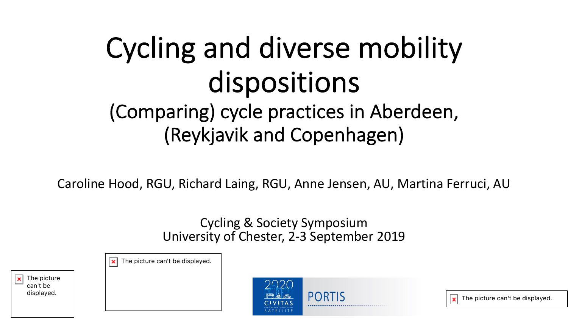# Cycling and diverse mobility dispositions

### (Comparing) cycle practices in Aberdeen, (Reykjavik and Copenhagen)

Caroline Hood, RGU, Richard Laing, RGU, Anne Jensen, AU, Martina Ferruci, AU

#### Cycling & Society Symposium University of Chester, 2-3 September 2019



The picture can't be displayed.



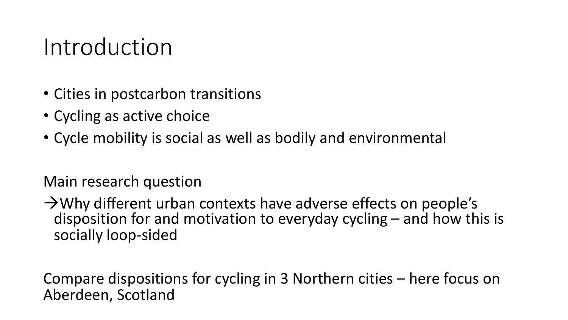### Introduction

- Cities in postcarbon transitions
- Cycling as active choice
- Cycle mobility is social as well as bodily and environmental

#### Main research question

 $\rightarrow$ Why different urban contexts have adverse effects on people's disposition for and motivation to everyday cycling – and how this is socially loop-sided

Compare dispositions for cycling in 3 Northern cities – here focus on Aberdeen, Scotland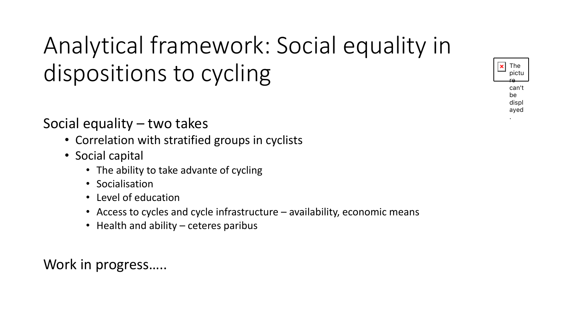## Analytical framework: Social equality in dispositions to cycling

#### Social equality – two takes

- Correlation with stratified groups in cyclists
- Social capital
	- The ability to take advante of cycling
	- Socialisation
	- Level of education
	- Access to cycles and cycle infrastructure availability, economic means
	- Health and ability ceteres paribus

Work in progress…..

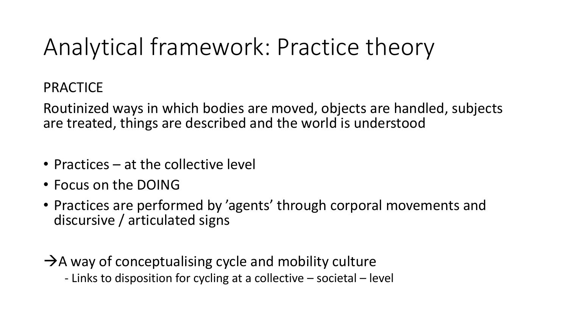### Analytical framework: Practice theory

**PRACTICE** 

Routinized ways in which bodies are moved, objects are handled, subjects are treated, things are described and the world is understood

- Practices at the collective level
- Focus on the DOING
- Practices are performed by 'agents' through corporal movements and discursive / articulated signs

 $\rightarrow$ A way of conceptualising cycle and mobility culture - Links to disposition for cycling at a collective – societal – level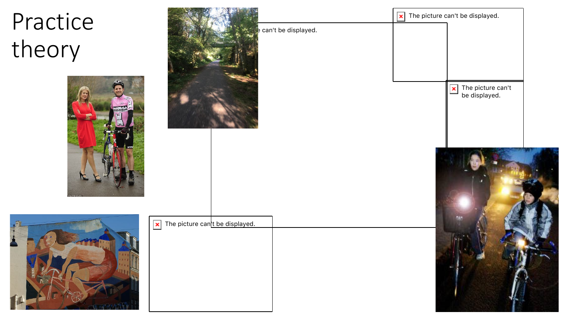## Practice theory

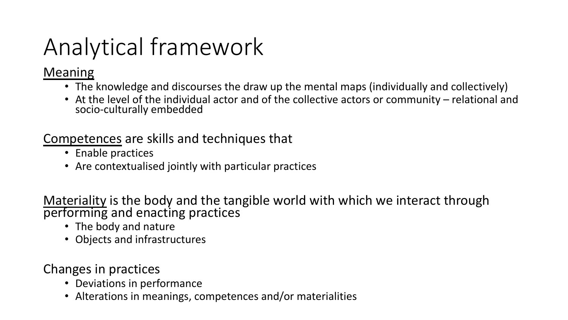## Analytical framework

Meaning

- The knowledge and discourses the draw up the mental maps (individually and collectively)
- At the level of the individual actor and of the collective actors or community relational and socio-culturally embedded

#### Competences are skills and techniques that

- Enable practices
- Are contextualised jointly with particular practices

Materiality is the body and the tangible world with which we interact through performing and enacting practices

- The body and nature
- Objects and infrastructures

Changes in practices

- Deviations in performance
- Alterations in meanings, competences and/or materialities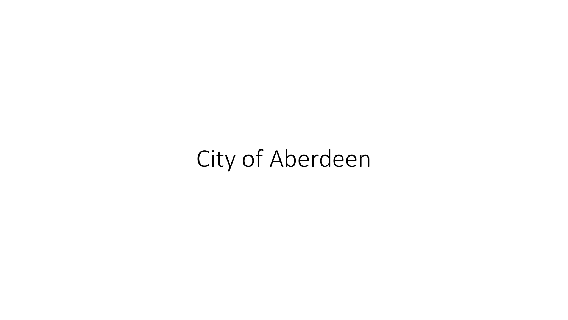### City of Aberdeen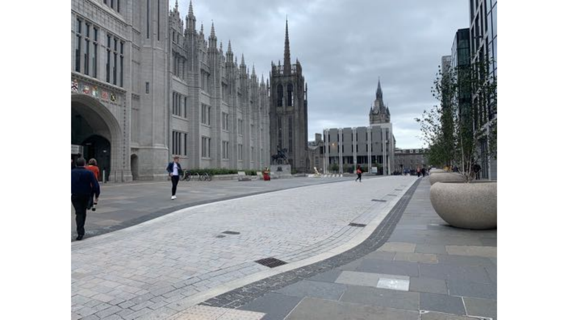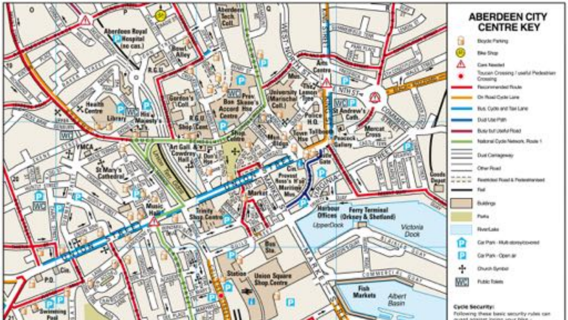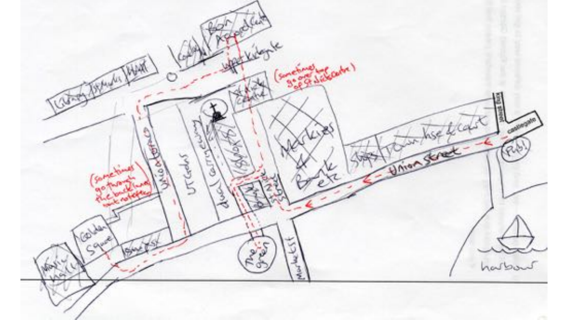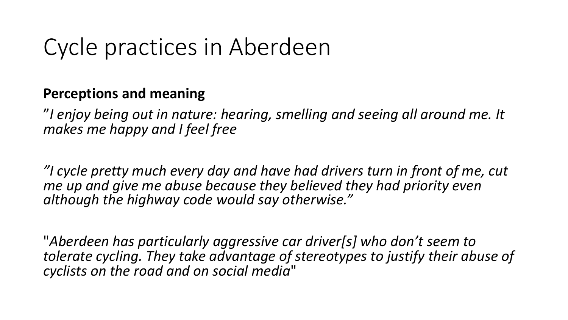#### **Perceptions and meaning**

"*I enjoy being out in nature: hearing, smelling and seeing all around me. It makes me happy and I feel free*

*"I cycle pretty much every day and have had drivers turn in front of me, cut me up and give me abuse because they believed they had priority even although the highway code would say otherwise."*

"*Aberdeen has particularly aggressive car driver[s] who don't seem to tolerate cycling. They take advantage of stereotypes to justify their abuse of cyclists on the road and on social media*"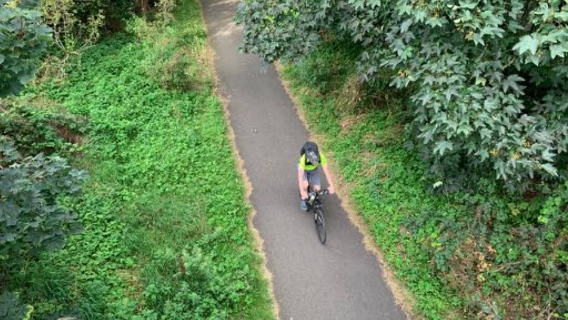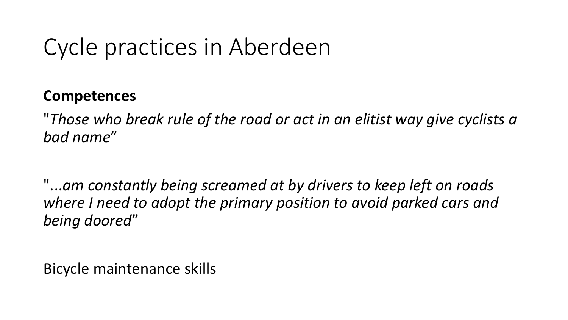#### **Competences**

"*Those who break rule of the road or act in an elitist way give cyclists a bad name*"

"...*am constantly being screamed at by drivers to keep left on roads where I need to adopt the primary position to avoid parked cars and being doored*"

Bicycle maintenance skills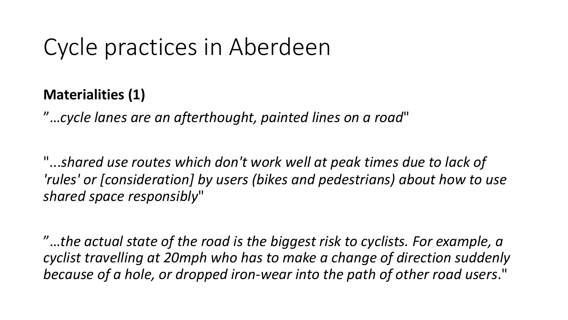#### **Materialities (1)**

"…*cycle lanes are an afterthought, painted lines on a road*"

"...*shared use routes which don't work well at peak times due to lack of 'rules' or [consideration] by users (bikes and pedestrians) about how to use shared space responsibly*"

"…*the actual state of the road is the biggest risk to cyclists. For example, a cyclist travelling at 20mph who has to make a change of direction suddenly because of a hole, or dropped iron-wear into the path of other road users*."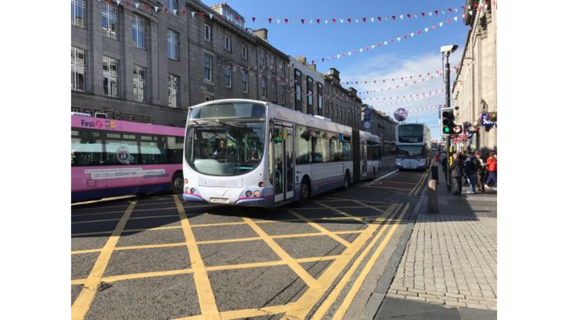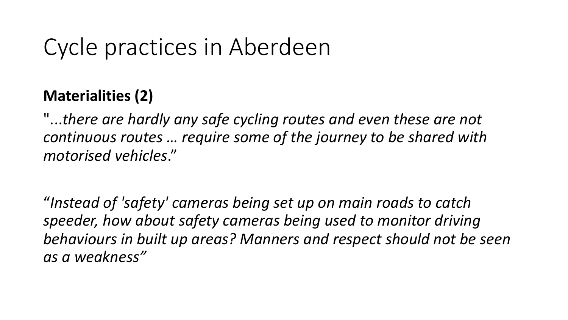#### **Materialities (2)**

"...*there are hardly any safe cycling routes and even these are not continuous routes … require some of the journey to be shared with motorised vehicles*."

"*Instead of 'safety' cameras being set up on main roads to catch speeder, how about safety cameras being used to monitor driving behaviours in built up areas? Manners and respect should not be seen as a weakness"*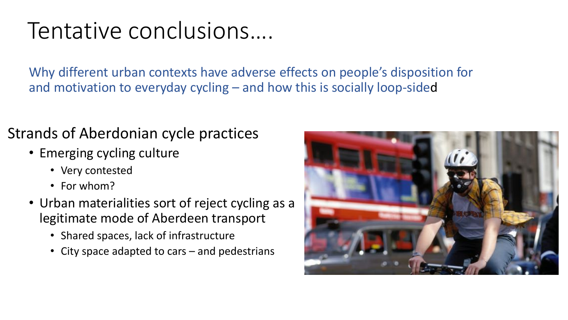### Tentative conclusions….

Why different urban contexts have adverse effects on people's disposition for and motivation to everyday cycling – and how this is socially loop-sided

#### Strands of Aberdonian cycle practices

- Emerging cycling culture
	- Very contested
	- For whom?
- Urban materialities sort of reject cycling as a legitimate mode of Aberdeen transport
	- Shared spaces, lack of infrastructure
	- City space adapted to cars and pedestrians

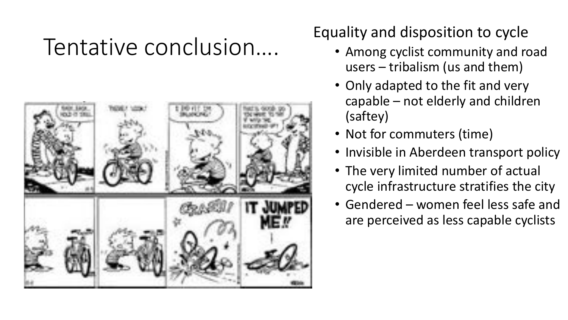# Equality and disposition to cycle<br>Tentative conclusion…. • Among cyclist community and ro

![](_page_17_Picture_1.jpeg)

- Among cyclist community and road users – tribalism (us and them)
- Only adapted to the fit and very capable – not elderly and children (saftey)
- Not for commuters (time)
- Invisible in Aberdeen transport policy
- The very limited number of actual cycle infrastructure stratifies the city
- Gendered women feel less safe and are perceived as less capable cyclists